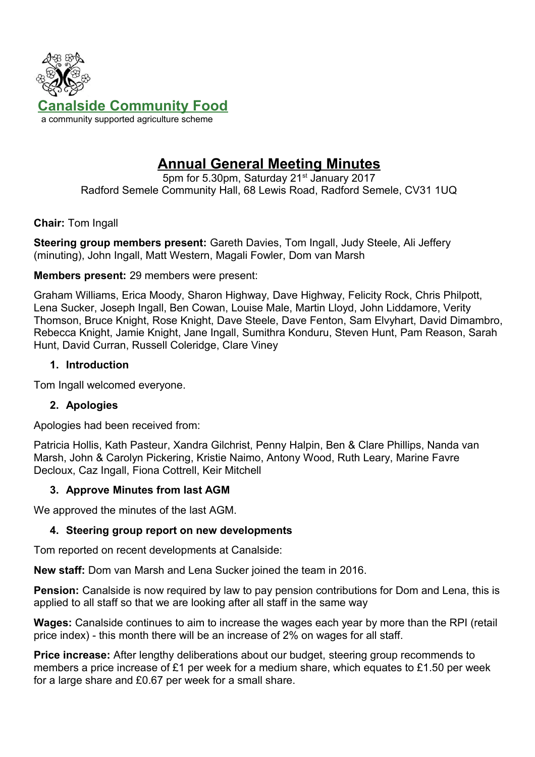

# **Annual General Meeting Minutes**

5pm for 5.30pm, Saturday 21<sup>st</sup> January 2017 Radford Semele Community Hall, 68 Lewis Road, Radford Semele, CV31 1UQ

**Chair:** Tom Ingall

**Steering group members present:** Gareth Davies, Tom Ingall, Judy Steele, Ali Jeffery (minuting), John Ingall, Matt Western, Magali Fowler, Dom van Marsh

### **Members present:** 29 members were present:

Graham Williams, Erica Moody, Sharon Highway, Dave Highway, Felicity Rock, Chris Philpott, Lena Sucker, Joseph Ingall, Ben Cowan, Louise Male, Martin Lloyd, John Liddamore, Verity Thomson, Bruce Knight, Rose Knight, Dave Steele, Dave Fenton, Sam Elvyhart, David Dimambro, Rebecca Knight, Jamie Knight, Jane Ingall, Sumithra Konduru, Steven Hunt, Pam Reason, Sarah Hunt, David Curran, Russell Coleridge, Clare Viney

## **1. Introduction**

Tom Ingall welcomed everyone.

## **2. Apologies**

Apologies had been received from:

Patricia Hollis, Kath Pasteur, Xandra Gilchrist, Penny Halpin, Ben & Clare Phillips, Nanda van Marsh, John & Carolyn Pickering, Kristie Naimo, Antony Wood, Ruth Leary, Marine Favre Decloux, Caz Ingall, Fiona Cottrell, Keir Mitchell

### **3. Approve Minutes from last AGM**

We approved the minutes of the last AGM.

## **4. Steering group report on new developments**

Tom reported on recent developments at Canalside:

**New staff:** Dom van Marsh and Lena Sucker joined the team in 2016.

**Pension:** Canalside is now required by law to pay pension contributions for Dom and Lena, this is applied to all staff so that we are looking after all staff in the same way

**Wages:** Canalside continues to aim to increase the wages each year by more than the RPI (retail price index) - this month there will be an increase of 2% on wages for all staff.

**Price increase:** After lengthy deliberations about our budget, steering group recommends to members a price increase of £1 per week for a medium share, which equates to £1.50 per week for a large share and £0.67 per week for a small share.